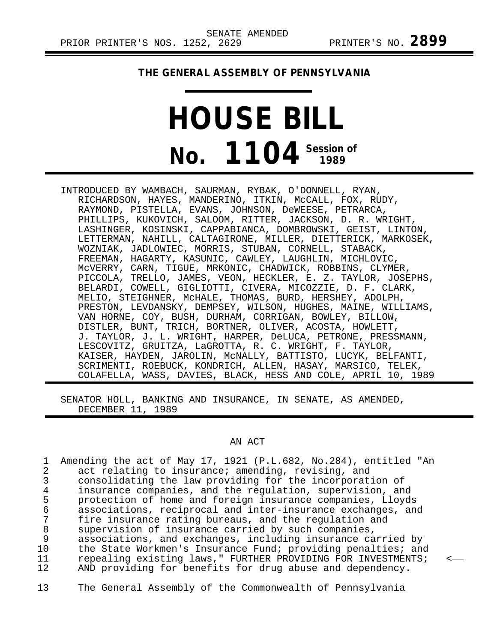## **THE GENERAL ASSEMBLY OF PENNSYLVANIA**

## **HOUSE BILL No. 1104 Session of 1989**

INTRODUCED BY WAMBACH, SAURMAN, RYBAK, O'DONNELL, RYAN, RICHARDSON, HAYES, MANDERINO, ITKIN, McCALL, FOX, RUDY, RAYMOND, PISTELLA, EVANS, JOHNSON, DeWEESE, PETRARCA, PHILLIPS, KUKOVICH, SALOOM, RITTER, JACKSON, D. R. WRIGHT, LASHINGER, KOSINSKI, CAPPABIANCA, DOMBROWSKI, GEIST, LINTON, LETTERMAN, NAHILL, CALTAGIRONE, MILLER, DIETTERICK, MARKOSEK, WOZNIAK, JADLOWIEC, MORRIS, STUBAN, CORNELL, STABACK, FREEMAN, HAGARTY, KASUNIC, CAWLEY, LAUGHLIN, MICHLOVIC, McVERRY, CARN, TIGUE, MRKONIC, CHADWICK, ROBBINS, CLYMER, PICCOLA, TRELLO, JAMES, VEON, HECKLER, E. Z. TAYLOR, JOSEPHS, BELARDI, COWELL, GIGLIOTTI, CIVERA, MICOZZIE, D. F. CLARK, MELIO, STEIGHNER, McHALE, THOMAS, BURD, HERSHEY, ADOLPH, PRESTON, LEVDANSKY, DEMPSEY, WILSON, HUGHES, MAINE, WILLIAMS, VAN HORNE, COY, BUSH, DURHAM, CORRIGAN, BOWLEY, BILLOW, DISTLER, BUNT, TRICH, BORTNER, OLIVER, ACOSTA, HOWLETT, J. TAYLOR, J. L. WRIGHT, HARPER, DeLUCA, PETRONE, PRESSMANN, LESCOVITZ, GRUITZA, LaGROTTA, R. C. WRIGHT, F. TAYLOR, KAISER, HAYDEN, JAROLIN, McNALLY, BATTISTO, LUCYK, BELFANTI, SCRIMENTI, ROEBUCK, KONDRICH, ALLEN, HASAY, MARSICO, TELEK, COLAFELLA, WASS, DAVIES, BLACK, HESS AND COLE, APRIL 10, 1989

SENATOR HOLL, BANKING AND INSURANCE, IN SENATE, AS AMENDED, DECEMBER 11, 1989

## AN ACT

| Amending the act of May 17, 1921 (P.L.682, No.284), entitled "An |  |
|------------------------------------------------------------------|--|
| act relating to insurance; amending, revising, and               |  |
| consolidating the law providing for the incorporation of         |  |
| insurance companies, and the regulation, supervision, and        |  |
| protection of home and foreign insurance companies, Lloyds       |  |
| associations, reciprocal and inter-insurance exchanges, and      |  |
| fire insurance rating bureaus, and the regulation and            |  |
| supervision of insurance carried by such companies,              |  |
| associations, and exchanges, including insurance carried by      |  |
| the State Workmen's Insurance Fund; providing penalties; and     |  |
| repealing existing laws," FURTHER PROVIDING FOR INVESTMENTS;     |  |
| AND providing for benefits for drug abuse and dependency.        |  |
|                                                                  |  |

13 The General Assembly of the Commonwealth of Pennsylvania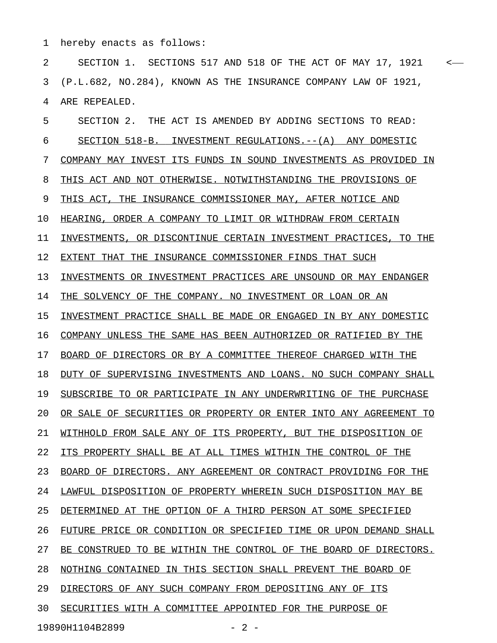1 hereby enacts as follows:

2 SECTION 1. SECTIONS 517 AND 518 OF THE ACT OF MAY 17, 1921 < 3 (P.L.682, NO.284), KNOWN AS THE INSURANCE COMPANY LAW OF 1921, 4 ARE REPEALED.

5 SECTION 2. THE ACT IS AMENDED BY ADDING SECTIONS TO READ: 6 SECTION 518-B. INVESTMENT REGULATIONS.--(A) ANY DOMESTIC 7 COMPANY MAY INVEST ITS FUNDS IN SOUND INVESTMENTS AS PROVIDED IN 8 THIS ACT AND NOT OTHERWISE. NOTWITHSTANDING THE PROVISIONS OF 9 THIS ACT, THE INSURANCE COMMISSIONER MAY, AFTER NOTICE AND 10 HEARING, ORDER A COMPANY TO LIMIT OR WITHDRAW FROM CERTAIN 11 INVESTMENTS, OR DISCONTINUE CERTAIN INVESTMENT PRACTICES, TO THE 12 EXTENT THAT THE INSURANCE COMMISSIONER FINDS THAT SUCH 13 INVESTMENTS OR INVESTMENT PRACTICES ARE UNSOUND OR MAY ENDANGER 14 THE SOLVENCY OF THE COMPANY. NO INVESTMENT OR LOAN OR AN 15 INVESTMENT PRACTICE SHALL BE MADE OR ENGAGED IN BY ANY DOMESTIC 16 COMPANY UNLESS THE SAME HAS BEEN AUTHORIZED OR RATIFIED BY THE 17 BOARD OF DIRECTORS OR BY A COMMITTEE THEREOF CHARGED WITH THE 18 DUTY OF SUPERVISING INVESTMENTS AND LOANS. NO SUCH COMPANY SHALL 19 SUBSCRIBE TO OR PARTICIPATE IN ANY UNDERWRITING OF THE PURCHASE 20 OR SALE OF SECURITIES OR PROPERTY OR ENTER INTO ANY AGREEMENT TO 21 WITHHOLD FROM SALE ANY OF ITS PROPERTY, BUT THE DISPOSITION OF 22 ITS PROPERTY SHALL BE AT ALL TIMES WITHIN THE CONTROL OF THE 23 BOARD OF DIRECTORS. ANY AGREEMENT OR CONTRACT PROVIDING FOR THE 24 LAWFUL DISPOSITION OF PROPERTY WHEREIN SUCH DISPOSITION MAY BE 25 DETERMINED AT THE OPTION OF A THIRD PERSON AT SOME SPECIFIED 26 FUTURE PRICE OR CONDITION OR SPECIFIED TIME OR UPON DEMAND SHALL 27 BE CONSTRUED TO BE WITHIN THE CONTROL OF THE BOARD OF DIRECTORS. 28 NOTHING CONTAINED IN THIS SECTION SHALL PREVENT THE BOARD OF 29 DIRECTORS OF ANY SUCH COMPANY FROM DEPOSITING ANY OF ITS 30 SECURITIES WITH A COMMITTEE APPOINTED FOR THE PURPOSE OF

19890H1104B2899 - 2 -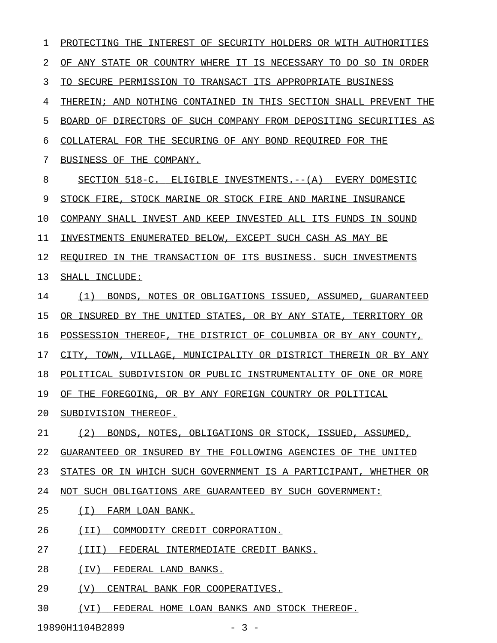1 PROTECTING THE INTEREST OF SECURITY HOLDERS OR WITH AUTHORITIES 2 OF ANY STATE OR COUNTRY WHERE IT IS NECESSARY TO DO SO IN ORDER 3 TO SECURE PERMISSION TO TRANSACT ITS APPROPRIATE BUSINESS 4 THEREIN; AND NOTHING CONTAINED IN THIS SECTION SHALL PREVENT THE 5 BOARD OF DIRECTORS OF SUCH COMPANY FROM DEPOSITING SECURITIES AS 6 COLLATERAL FOR THE SECURING OF ANY BOND REQUIRED FOR THE 7 BUSINESS OF THE COMPANY. 8 SECTION 518-C. ELIGIBLE INVESTMENTS.--(A) EVERY DOMESTIC 9 STOCK FIRE, STOCK MARINE OR STOCK FIRE AND MARINE INSURANCE 10 COMPANY SHALL INVEST AND KEEP INVESTED ALL ITS FUNDS IN SOUND 11 INVESTMENTS ENUMERATED BELOW, EXCEPT SUCH CASH AS MAY BE 12 REQUIRED IN THE TRANSACTION OF ITS BUSINESS. SUCH INVESTMENTS 13 SHALL INCLUDE: 14 (1) BONDS, NOTES OR OBLIGATIONS ISSUED, ASSUMED, GUARANTEED 15 OR INSURED BY THE UNITED STATES, OR BY ANY STATE, TERRITORY OR 16 POSSESSION THEREOF, THE DISTRICT OF COLUMBIA OR BY ANY COUNTY, 17 CITY, TOWN, VILLAGE, MUNICIPALITY OR DISTRICT THEREIN OR BY ANY 18 POLITICAL SUBDIVISION OR PUBLIC INSTRUMENTALITY OF ONE OR MORE 19 OF THE FOREGOING, OR BY ANY FOREIGN COUNTRY OR POLITICAL 20 SUBDIVISION THEREOF. 21 (2) BONDS, NOTES, OBLIGATIONS OR STOCK, ISSUED, ASSUMED, 22 GUARANTEED OR INSURED BY THE FOLLOWING AGENCIES OF THE UNITED 23 STATES OR IN WHICH SUCH GOVERNMENT IS A PARTICIPANT, WHETHER OR 24 NOT SUCH OBLIGATIONS ARE GUARANTEED BY SUCH GOVERNMENT: 25 (I) FARM LOAN BANK. 26 (II) COMMODITY CREDIT CORPORATION. 27 (III) FEDERAL INTERMEDIATE CREDIT BANKS. 28 (IV) FEDERAL LAND BANKS. 29 (V) CENTRAL BANK FOR COOPERATIVES.

30 (VI) FEDERAL HOME LOAN BANKS AND STOCK THEREOF.

19890H1104B2899 - 3 -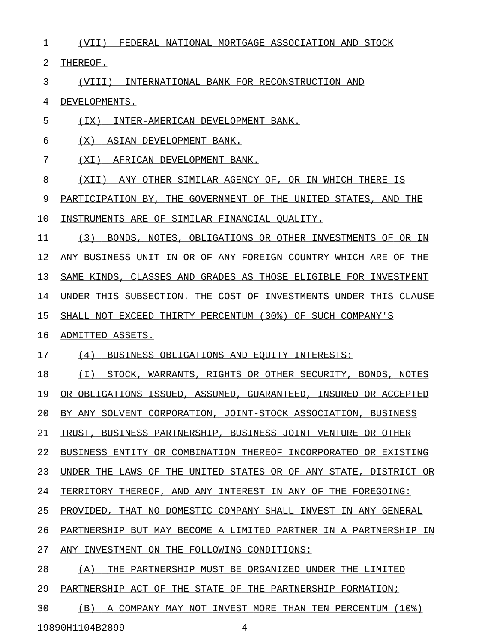1 (VII) FEDERAL NATIONAL MORTGAGE ASSOCIATION AND STOCK

2 THEREOF.

3 (VIII) INTERNATIONAL BANK FOR RECONSTRUCTION AND

4 DEVELOPMENTS.

5 (IX) INTER-AMERICAN DEVELOPMENT BANK.

6 (X) ASIAN DEVELOPMENT BANK.

7 (XI) AFRICAN DEVELOPMENT BANK.

8 (XII) ANY OTHER SIMILAR AGENCY OF, OR IN WHICH THERE IS

9 PARTICIPATION BY, THE GOVERNMENT OF THE UNITED STATES, AND THE

10 INSTRUMENTS ARE OF SIMILAR FINANCIAL QUALITY.

11 (3) BONDS, NOTES, OBLIGATIONS OR OTHER INVESTMENTS OF OR IN 12 ANY BUSINESS UNIT IN OR OF ANY FOREIGN COUNTRY WHICH ARE OF THE 13 SAME KINDS, CLASSES AND GRADES AS THOSE ELIGIBLE FOR INVESTMENT 14 UNDER THIS SUBSECTION. THE COST OF INVESTMENTS UNDER THIS CLAUSE 15 SHALL NOT EXCEED THIRTY PERCENTUM (30%) OF SUCH COMPANY'S

## 16 ADMITTED ASSETS.

17 (4) BUSINESS OBLIGATIONS AND EQUITY INTERESTS:

18 (I) STOCK, WARRANTS, RIGHTS OR OTHER SECURITY, BONDS, NOTES 19 OR OBLIGATIONS ISSUED, ASSUMED, GUARANTEED, INSURED OR ACCEPTED 20 BY ANY SOLVENT CORPORATION, JOINT-STOCK ASSOCIATION, BUSINESS 21 TRUST, BUSINESS PARTNERSHIP, BUSINESS JOINT VENTURE OR OTHER

22 BUSINESS ENTITY OR COMBINATION THEREOF INCORPORATED OR EXISTING

23 UNDER THE LAWS OF THE UNITED STATES OR OF ANY STATE, DISTRICT OR

24 TERRITORY THEREOF, AND ANY INTEREST IN ANY OF THE FOREGOING:

25 PROVIDED, THAT NO DOMESTIC COMPANY SHALL INVEST IN ANY GENERAL

26 PARTNERSHIP BUT MAY BECOME A LIMITED PARTNER IN A PARTNERSHIP IN

27 ANY INVESTMENT ON THE FOLLOWING CONDITIONS:

28 (A) THE PARTNERSHIP MUST BE ORGANIZED UNDER THE LIMITED

29 PARTNERSHIP ACT OF THE STATE OF THE PARTNERSHIP FORMATION;

30 (B) A COMPANY MAY NOT INVEST MORE THAN TEN PERCENTUM (10%)

19890H1104B2899 - 4 -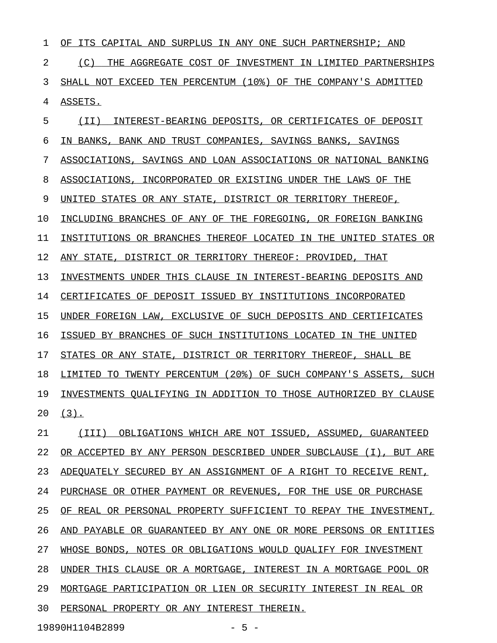1 OF ITS CAPITAL AND SURPLUS IN ANY ONE SUCH PARTNERSHIP; AND 2 (C) THE AGGREGATE COST OF INVESTMENT IN LIMITED PARTNERSHIPS 3 SHALL NOT EXCEED TEN PERCENTUM (10%) OF THE COMPANY'S ADMITTED 4 ASSETS. 5 (II) INTEREST-BEARING DEPOSITS, OR CERTIFICATES OF DEPOSIT 6 IN BANKS, BANK AND TRUST COMPANIES, SAVINGS BANKS, SAVINGS 7 ASSOCIATIONS, SAVINGS AND LOAN ASSOCIATIONS OR NATIONAL BANKING 8 ASSOCIATIONS, INCORPORATED OR EXISTING UNDER THE LAWS OF THE 9 UNITED STATES OR ANY STATE, DISTRICT OR TERRITORY THEREOF, 10 INCLUDING BRANCHES OF ANY OF THE FOREGOING, OR FOREIGN BANKING

11 INSTITUTIONS OR BRANCHES THEREOF LOCATED IN THE UNITED STATES OR

12 ANY STATE, DISTRICT OR TERRITORY THEREOF: PROVIDED, THAT

13 INVESTMENTS UNDER THIS CLAUSE IN INTEREST-BEARING DEPOSITS AND

14 CERTIFICATES OF DEPOSIT ISSUED BY INSTITUTIONS INCORPORATED

15 UNDER FOREIGN LAW, EXCLUSIVE OF SUCH DEPOSITS AND CERTIFICATES

16 ISSUED BY BRANCHES OF SUCH INSTITUTIONS LOCATED IN THE UNITED

17 STATES OR ANY STATE, DISTRICT OR TERRITORY THEREOF, SHALL BE

18 LIMITED TO TWENTY PERCENTUM (20%) OF SUCH COMPANY'S ASSETS, SUCH 19 INVESTMENTS QUALIFYING IN ADDITION TO THOSE AUTHORIZED BY CLAUSE  $20 (3)$ .

21 (III) OBLIGATIONS WHICH ARE NOT ISSUED, ASSUMED, GUARANTEED 22 OR ACCEPTED BY ANY PERSON DESCRIBED UNDER SUBCLAUSE (I), BUT ARE 23 ADEQUATELY SECURED BY AN ASSIGNMENT OF A RIGHT TO RECEIVE RENT, 24 PURCHASE OR OTHER PAYMENT OR REVENUES, FOR THE USE OR PURCHASE 25 OF REAL OR PERSONAL PROPERTY SUFFICIENT TO REPAY THE INVESTMENT, 26 AND PAYABLE OR GUARANTEED BY ANY ONE OR MORE PERSONS OR ENTITIES 27 WHOSE BONDS, NOTES OR OBLIGATIONS WOULD QUALIFY FOR INVESTMENT 28 UNDER THIS CLAUSE OR A MORTGAGE, INTEREST IN A MORTGAGE POOL OR 29 MORTGAGE PARTICIPATION OR LIEN OR SECURITY INTEREST IN REAL OR 30 PERSONAL PROPERTY OR ANY INTEREST THEREIN.

19890H1104B2899 - 5 -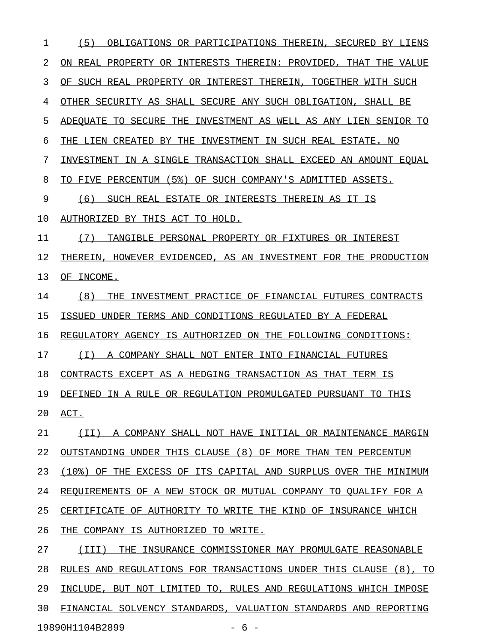1 (5) OBLIGATIONS OR PARTICIPATIONS THEREIN, SECURED BY LIENS 2 ON REAL PROPERTY OR INTERESTS THEREIN: PROVIDED, THAT THE VALUE 3 OF SUCH REAL PROPERTY OR INTEREST THEREIN, TOGETHER WITH SUCH 4 OTHER SECURITY AS SHALL SECURE ANY SUCH OBLIGATION, SHALL BE 5 ADEQUATE TO SECURE THE INVESTMENT AS WELL AS ANY LIEN SENIOR TO 6 THE LIEN CREATED BY THE INVESTMENT IN SUCH REAL ESTATE. NO 7 INVESTMENT IN A SINGLE TRANSACTION SHALL EXCEED AN AMOUNT EQUAL 8 TO FIVE PERCENTUM (5%) OF SUCH COMPANY'S ADMITTED ASSETS. 9 (6) SUCH REAL ESTATE OR INTERESTS THEREIN AS IT IS 10 AUTHORIZED BY THIS ACT TO HOLD. 11 (7) TANGIBLE PERSONAL PROPERTY OR FIXTURES OR INTEREST 12 THEREIN, HOWEVER EVIDENCED, AS AN INVESTMENT FOR THE PRODUCTION 13 OF INCOME. 14 (8) THE INVESTMENT PRACTICE OF FINANCIAL FUTURES CONTRACTS 15 ISSUED UNDER TERMS AND CONDITIONS REGULATED BY A FEDERAL 16 REGULATORY AGENCY IS AUTHORIZED ON THE FOLLOWING CONDITIONS: 17 (I) A COMPANY SHALL NOT ENTER INTO FINANCIAL FUTURES 18 CONTRACTS EXCEPT AS A HEDGING TRANSACTION AS THAT TERM IS 19 DEFINED IN A RULE OR REGULATION PROMULGATED PURSUANT TO THIS 20 ACT. 21 (II) A COMPANY SHALL NOT HAVE INITIAL OR MAINTENANCE MARGIN 22 OUTSTANDING UNDER THIS CLAUSE (8) OF MORE THAN TEN PERCENTUM 23 (10%) OF THE EXCESS OF ITS CAPITAL AND SURPLUS OVER THE MINIMUM 24 REQUIREMENTS OF A NEW STOCK OR MUTUAL COMPANY TO QUALIFY FOR A 25 CERTIFICATE OF AUTHORITY TO WRITE THE KIND OF INSURANCE WHICH 26 THE COMPANY IS AUTHORIZED TO WRITE. 27 (III) THE INSURANCE COMMISSIONER MAY PROMULGATE REASONABLE 28 RULES AND REGULATIONS FOR TRANSACTIONS UNDER THIS CLAUSE (8), TO 29 INCLUDE, BUT NOT LIMITED TO, RULES AND REGULATIONS WHICH IMPOSE 30 FINANCIAL SOLVENCY STANDARDS, VALUATION STANDARDS AND REPORTING

19890H1104B2899 - 6 -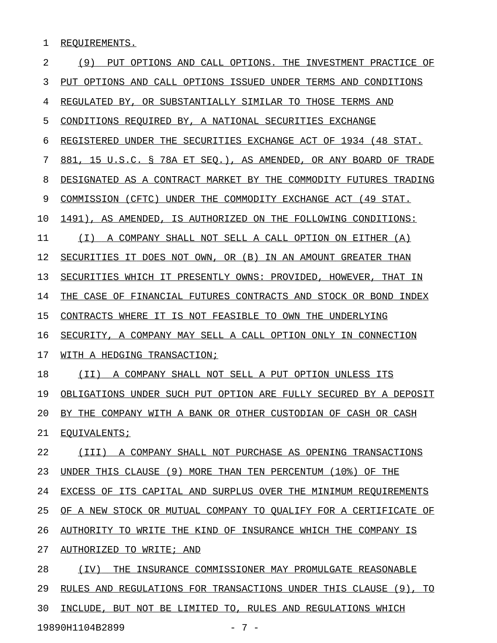1 REQUIREMENTS.

| 2  | (9)<br>PUT OPTIONS AND CALL OPTIONS. THE INVESTMENT PRACTICE OF  |
|----|------------------------------------------------------------------|
| 3  | PUT OPTIONS AND CALL OPTIONS ISSUED UNDER TERMS AND CONDITIONS   |
| 4  | REGULATED BY, OR SUBSTANTIALLY SIMILAR TO THOSE TERMS AND        |
| 5  | CONDITIONS REQUIRED BY, A NATIONAL SECURITIES EXCHANGE           |
| 6  | REGISTERED UNDER THE SECURITIES EXCHANGE ACT OF 1934 (48 STAT.   |
| 7  | 881, 15 U.S.C. § 78A ET SEO.), AS AMENDED, OR ANY BOARD OF TRADE |
| 8  | DESIGNATED AS A CONTRACT MARKET BY THE COMMODITY FUTURES TRADING |
| 9  | COMMISSION (CFTC) UNDER THE COMMODITY EXCHANGE ACT (49 STAT.     |
| 10 | 1491), AS AMENDED, IS AUTHORIZED ON THE FOLLOWING CONDITIONS:    |
| 11 | (T)<br>A COMPANY SHALL NOT SELL A CALL OPTION ON EITHER (A)      |
| 12 | SECURITIES IT DOES NOT OWN, OR (B) IN AN AMOUNT GREATER THAN     |
| 13 | SECURITIES WHICH IT PRESENTLY OWNS: PROVIDED, HOWEVER, THAT IN   |
| 14 | THE CASE OF FINANCIAL FUTURES CONTRACTS AND STOCK OR BOND INDEX  |
| 15 | CONTRACTS WHERE IT IS NOT FEASIBLE TO OWN THE UNDERLYING         |
| 16 | SECURITY, A COMPANY MAY SELL A CALL OPTION ONLY IN CONNECTION    |
| 17 | WITH A HEDGING TRANSACTION;                                      |
| 18 | A COMPANY SHALL NOT SELL A PUT OPTION UNLESS ITS<br>(II)         |
| 19 | OBLIGATIONS UNDER SUCH PUT OPTION ARE FULLY SECURED BY A DEPOSIT |
| 20 | BY THE COMPANY WITH A BANK OR OTHER CUSTODIAN OF CASH OR CASH    |
| 21 | EQUIVALENTS;                                                     |
| 22 | (III) A COMPANY SHALL NOT PURCHASE AS OPENING TRANSACTIONS       |
| 23 | UNDER THIS CLAUSE (9) MORE THAN TEN PERCENTUM (10%) OF THE       |
| 24 | EXCESS OF ITS CAPITAL AND SURPLUS OVER THE MINIMUM REQUIREMENTS  |
| 25 | OF A NEW STOCK OR MUTUAL COMPANY TO QUALIFY FOR A CERTIFICATE OF |
| 26 | AUTHORITY TO WRITE THE KIND OF INSURANCE WHICH THE COMPANY IS    |
| 27 | AUTHORIZED TO WRITE; AND                                         |
| 28 | (IV) THE INSURANCE COMMISSIONER MAY PROMULGATE REASONABLE        |
| 29 | RULES AND REGULATIONS FOR TRANSACTIONS UNDER THIS CLAUSE (9), TO |
| 30 | INCLUDE, BUT NOT BE LIMITED TO, RULES AND REGULATIONS WHICH      |

19890H1104B2899 - 7 -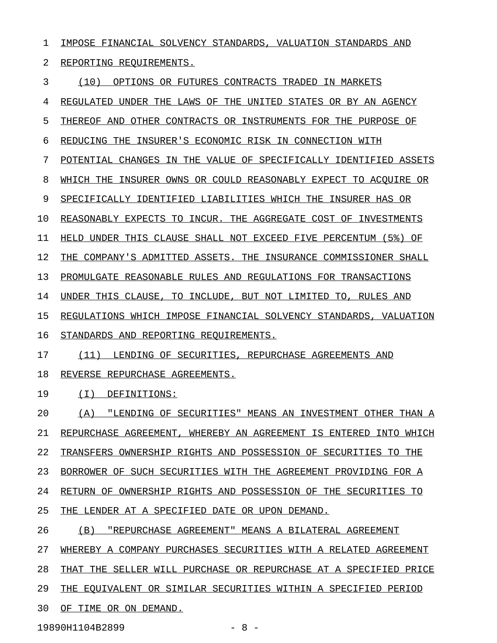| 1  | IMPOSE FINANCIAL SOLVENCY STANDARDS, VALUATION STANDARDS AND      |
|----|-------------------------------------------------------------------|
| 2  | REPORTING REOUIREMENTS.                                           |
| 3  | (10)<br>OPTIONS OR FUTURES CONTRACTS TRADED IN MARKETS            |
| 4  | REGULATED UNDER THE LAWS OF THE UNITED STATES OR BY AN AGENCY     |
| 5  | THEREOF AND OTHER CONTRACTS OR INSTRUMENTS FOR THE PURPOSE OF     |
| 6  | REDUCING THE INSURER'S ECONOMIC RISK IN CONNECTION WITH           |
| 7  | POTENTIAL CHANGES IN THE VALUE OF SPECIFICALLY IDENTIFIED ASSETS  |
| 8  | WHICH THE INSURER OWNS OR COULD REASONABLY EXPECT TO ACOUIRE OR   |
| 9  | SPECIFICALLY IDENTIFIED LIABILITIES WHICH THE INSURER HAS OR      |
| 10 | REASONABLY EXPECTS TO INCUR. THE AGGREGATE COST OF INVESTMENTS    |
| 11 | HELD UNDER THIS CLAUSE SHALL NOT EXCEED FIVE PERCENTUM (5%)<br>ΟF |
| 12 | THE COMPANY'S ADMITTED ASSETS. THE INSURANCE COMMISSIONER SHALL   |
| 13 | PROMULGATE REASONABLE RULES AND REGULATIONS FOR TRANSACTIONS      |
| 14 | UNDER THIS CLAUSE, TO INCLUDE, BUT NOT LIMITED TO, RULES AND      |
| 15 | REGULATIONS WHICH IMPOSE FINANCIAL SOLVENCY STANDARDS, VALUATION  |
| 16 | STANDARDS AND REPORTING REOUIREMENTS.                             |
| 17 | (11)<br>LENDING OF SECURITIES, REPURCHASE AGREEMENTS AND          |
| 18 | REVERSE REPURCHASE AGREEMENTS.                                    |
| 19 | ( I )<br>DEFINITIONS:                                             |
| 20 | (A) "LENDING OF SECURITIES" MEANS AN INVESTMENT OTHER THAN A      |
| 21 | REPURCHASE AGREEMENT, WHEREBY AN AGREEMENT IS ENTERED INTO WHICH  |
| 22 | TRANSFERS OWNERSHIP RIGHTS AND POSSESSION OF SECURITIES TO THE    |
| 23 | BORROWER OF SUCH SECURITIES WITH THE AGREEMENT PROVIDING FOR A    |
| 24 | RETURN OF OWNERSHIP RIGHTS AND POSSESSION OF THE SECURITIES TO    |
| 25 | THE LENDER AT A SPECIFIED DATE OR UPON DEMAND.                    |
| 26 | (B)<br><u> "REPURCHASE AGREEMENT" MEANS A BILATERAL AGREEMENT</u> |
| 27 | WHEREBY A COMPANY PURCHASES SECURITIES WITH A RELATED AGREEMENT   |
| 28 | THAT THE SELLER WILL PURCHASE OR REPURCHASE AT A SPECIFIED PRICE  |
| 29 | THE EQUIVALENT OR SIMILAR SECURITIES WITHIN A SPECIFIED PERIOD    |
| 30 | OF TIME OR ON DEMAND.                                             |

19890H1104B2899 - 8 -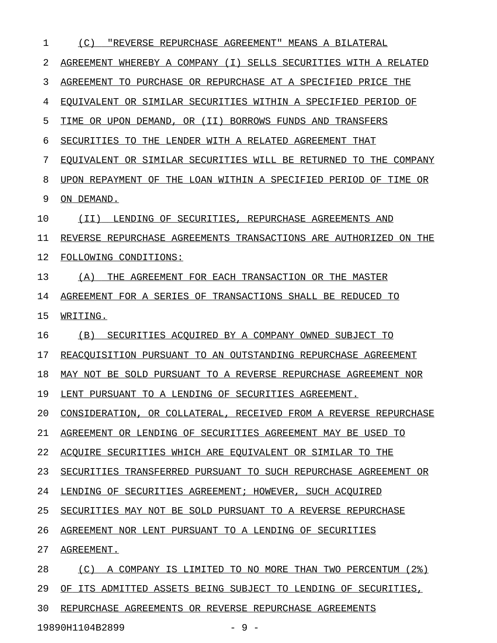| 1  | (C)<br>"REVERSE REPURCHASE AGREEMENT" MEANS A BILATERAL                 |
|----|-------------------------------------------------------------------------|
| 2  | AGREEMENT WHEREBY A COMPANY (I) SELLS SECURITIES WITH A RELATED         |
| 3  | TO PURCHASE OR REPURCHASE AT A SPECIFIED PRICE THE<br>AGREEMENT         |
| 4  | EQUIVALENT OR SIMILAR SECURITIES WITHIN A SPECIFIED PERIOD OF           |
| 5  | TIME OR UPON DEMAND, OR (II)<br>BORROWS FUNDS AND TRANSFERS             |
| 6  | SECURITIES TO<br>THE LENDER WITH A RELATED AGREEMENT THAT               |
| 7  | EOUIVALENT OR SIMILAR SECURITIES WILL BE RETURNED<br>TO.<br>THE COMPANY |
| 8  | UPON REPAYMENT OF THE LOAN WITHIN A SPECIFIED PERIOD OF<br>TIME<br>OR.  |
| 9  | ON DEMAND.                                                              |
| 10 | (II)<br>LENDING OF SECURITIES, REPURCHASE AGREEMENTS AND                |
| 11 | REVERSE REPURCHASE AGREEMENTS TRANSACTIONS ARE AUTHORIZED ON THE        |
| 12 | FOLLOWING CONDITIONS:                                                   |
| 13 | (A)<br>THE AGREEMENT FOR EACH TRANSACTION OR THE MASTER                 |
| 14 | AGREEMENT FOR A SERIES OF TRANSACTIONS SHALL BE REDUCED TO              |
| 15 | WRITING.                                                                |
| 16 | (B)<br>SECURITIES ACOUIRED BY A COMPANY OWNED SUBJECT TO                |
| 17 | REACOUISITION PURSUANT TO AN OUTSTANDING REPURCHASE AGREEMENT           |
| 18 | MAY NOT BE SOLD PURSUANT TO A REVERSE REPURCHASE AGREEMENT NOR          |
| 19 | LENT PURSUANT TO A LENDING OF SECURITIES AGREEMENT.                     |
| 20 | CONSIDERATION, OR COLLATERAL, RECEIVED FROM A REVERSE REPURCHASE        |
| 21 | AGREEMENT OR LENDING OF SECURITIES AGREEMENT MAY BE USED TO             |
| 22 | ACQUIRE SECURITIES WHICH ARE EQUIVALENT OR SIMILAR TO THE               |
| 23 | SECURITIES TRANSFERRED PURSUANT TO SUCH REPURCHASE AGREEMENT OR         |
| 24 | LENDING OF SECURITIES AGREEMENT; HOWEVER, SUCH ACOUIRED                 |
| 25 | SECURITIES MAY NOT BE SOLD PURSUANT TO A REVERSE REPURCHASE             |
| 26 | AGREEMENT NOR LENT PURSUANT TO A LENDING OF SECURITIES                  |
| 27 | AGREEMENT.                                                              |
| 28 | (C) A COMPANY IS LIMITED TO NO MORE THAN TWO PERCENTUM (2%)             |
| 29 | OF ITS ADMITTED ASSETS BEING SUBJECT TO LENDING OF SECURITIES,          |
| 30 | REPURCHASE AGREEMENTS OR REVERSE REPURCHASE AGREEMENTS                  |
|    |                                                                         |

19890H1104B2899 - 9 -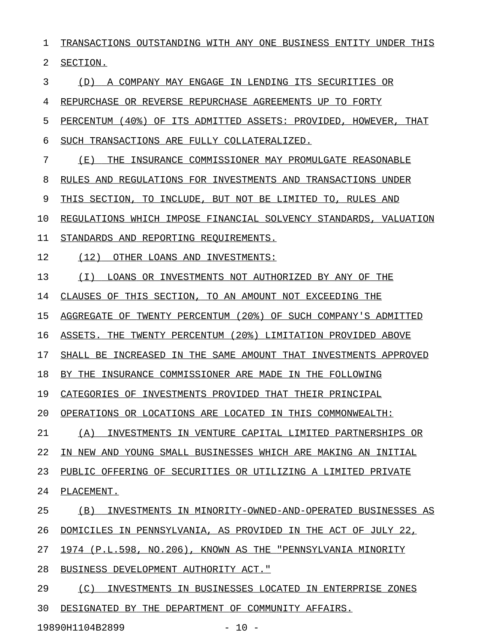1 TRANSACTIONS OUTSTANDING WITH ANY ONE BUSINESS ENTITY UNDER THIS 2 SECTION. 3 (D) A COMPANY MAY ENGAGE IN LENDING ITS SECURITIES OR 4 REPURCHASE OR REVERSE REPURCHASE AGREEMENTS UP TO FORTY 5 PERCENTUM (40%) OF ITS ADMITTED ASSETS: PROVIDED, HOWEVER, THAT 6 SUCH TRANSACTIONS ARE FULLY COLLATERALIZED. 7 (E) THE INSURANCE COMMISSIONER MAY PROMULGATE REASONABLE 8 RULES AND REGULATIONS FOR INVESTMENTS AND TRANSACTIONS UNDER 9 THIS SECTION, TO INCLUDE, BUT NOT BE LIMITED TO, RULES AND 10 REGULATIONS WHICH IMPOSE FINANCIAL SOLVENCY STANDARDS, VALUATION 11 STANDARDS AND REPORTING REQUIREMENTS. 12 (12) OTHER LOANS AND INVESTMENTS: 13 (I) LOANS OR INVESTMENTS NOT AUTHORIZED BY ANY OF THE 14 CLAUSES OF THIS SECTION, TO AN AMOUNT NOT EXCEEDING THE 15 AGGREGATE OF TWENTY PERCENTUM (20%) OF SUCH COMPANY'S ADMITTED 16 ASSETS. THE TWENTY PERCENTUM (20%) LIMITATION PROVIDED ABOVE 17 SHALL BE INCREASED IN THE SAME AMOUNT THAT INVESTMENTS APPROVED 18 BY THE INSURANCE COMMISSIONER ARE MADE IN THE FOLLOWING 19 CATEGORIES OF INVESTMENTS PROVIDED THAT THEIR PRINCIPAL 20 OPERATIONS OR LOCATIONS ARE LOCATED IN THIS COMMONWEALTH: 21 (A) INVESTMENTS IN VENTURE CAPITAL LIMITED PARTNERSHIPS OR 22 IN NEW AND YOUNG SMALL BUSINESSES WHICH ARE MAKING AN INITIAL 23 PUBLIC OFFERING OF SECURITIES OR UTILIZING A LIMITED PRIVATE 24 PLACEMENT. 25 (B) INVESTMENTS IN MINORITY-OWNED-AND-OPERATED BUSINESSES AS 26 DOMICILES IN PENNSYLVANIA, AS PROVIDED IN THE ACT OF JULY 22, 27 1974 (P.L.598, NO.206), KNOWN AS THE "PENNSYLVANIA MINORITY 28 BUSINESS DEVELOPMENT AUTHORITY ACT." 29 (C) INVESTMENTS IN BUSINESSES LOCATED IN ENTERPRISE ZONES 30 DESIGNATED BY THE DEPARTMENT OF COMMUNITY AFFAIRS.

19890H1104B2899 - 10 -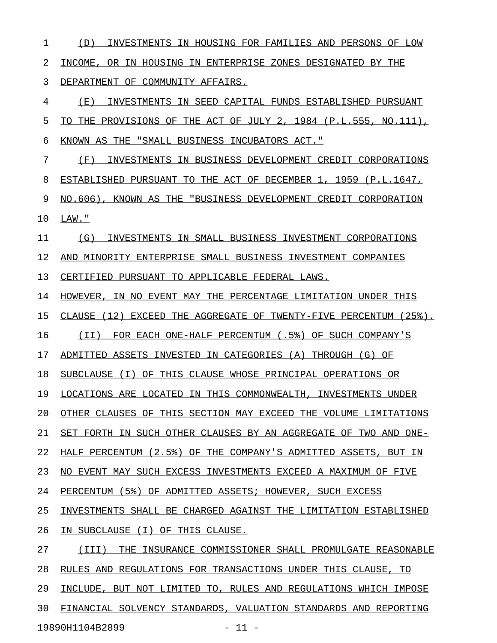1 (D) INVESTMENTS IN HOUSING FOR FAMILIES AND PERSONS OF LOW 2 INCOME, OR IN HOUSING IN ENTERPRISE ZONES DESIGNATED BY THE 3 DEPARTMENT OF COMMUNITY AFFAIRS. 4 (E) INVESTMENTS IN SEED CAPITAL FUNDS ESTABLISHED PURSUANT 5 TO THE PROVISIONS OF THE ACT OF JULY 2,  $1984$  (P.L.555, NO.111), 6 KNOWN AS THE "SMALL BUSINESS INCUBATORS ACT." 7 (F) INVESTMENTS IN BUSINESS DEVELOPMENT CREDIT CORPORATIONS 8 ESTABLISHED PURSUANT TO THE ACT OF DECEMBER 1, 1959 (P.L.1647, 9 NO.606), KNOWN AS THE "BUSINESS DEVELOPMENT CREDIT CORPORATION 10 LAW." 11 (G) INVESTMENTS IN SMALL BUSINESS INVESTMENT CORPORATIONS 12 AND MINORITY ENTERPRISE SMALL BUSINESS INVESTMENT COMPANIES 13 CERTIFIED PURSUANT TO APPLICABLE FEDERAL LAWS. 14 HOWEVER, IN NO EVENT MAY THE PERCENTAGE LIMITATION UNDER THIS 15 CLAUSE (12) EXCEED THE AGGREGATE OF TWENTY-FIVE PERCENTUM (25%). 16 (II) FOR EACH ONE-HALF PERCENTUM (.5%) OF SUCH COMPANY'S 17 ADMITTED ASSETS INVESTED IN CATEGORIES (A) THROUGH (G) OF 18 SUBCLAUSE (I) OF THIS CLAUSE WHOSE PRINCIPAL OPERATIONS OR 19 LOCATIONS ARE LOCATED IN THIS COMMONWEALTH, INVESTMENTS UNDER 20 OTHER CLAUSES OF THIS SECTION MAY EXCEED THE VOLUME LIMITATIONS 21 SET FORTH IN SUCH OTHER CLAUSES BY AN AGGREGATE OF TWO AND ONE-22 HALF PERCENTUM (2.5%) OF THE COMPANY'S ADMITTED ASSETS, BUT IN 23 NO EVENT MAY SUCH EXCESS INVESTMENTS EXCEED A MAXIMUM OF FIVE 24 PERCENTUM (5%) OF ADMITTED ASSETS; HOWEVER, SUCH EXCESS 25 INVESTMENTS SHALL BE CHARGED AGAINST THE LIMITATION ESTABLISHED 26 IN SUBCLAUSE (I) OF THIS CLAUSE. 27 (III) THE INSURANCE COMMISSIONER SHALL PROMULGATE REASONABLE 28 RULES AND REGULATIONS FOR TRANSACTIONS UNDER THIS CLAUSE, TO 29 INCLUDE, BUT NOT LIMITED TO, RULES AND REGULATIONS WHICH IMPOSE

30 FINANCIAL SOLVENCY STANDARDS, VALUATION STANDARDS AND REPORTING

19890H1104B2899 - 11 -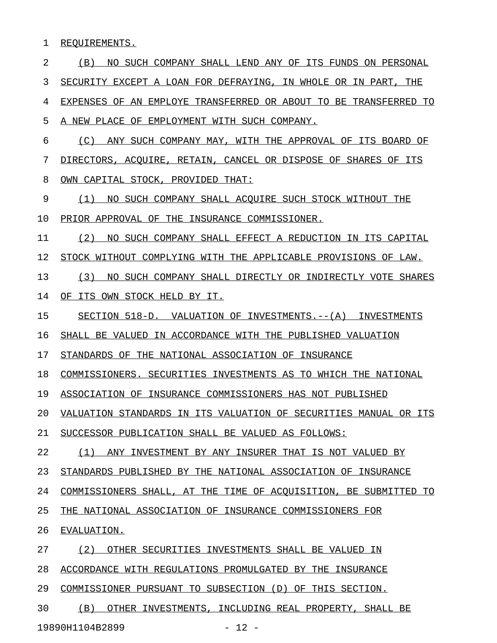1 REQUIREMENTS.

2 (B) NO SUCH COMPANY SHALL LEND ANY OF ITS FUNDS ON PERSONAL 3 SECURITY EXCEPT A LOAN FOR DEFRAYING, IN WHOLE OR IN PART, THE 4 EXPENSES OF AN EMPLOYE TRANSFERRED OR ABOUT TO BE TRANSFERRED TO 5 A NEW PLACE OF EMPLOYMENT WITH SUCH COMPANY. 6 (C) ANY SUCH COMPANY MAY, WITH THE APPROVAL OF ITS BOARD OF 7 DIRECTORS, ACOUIRE, RETAIN, CANCEL OR DISPOSE OF SHARES OF ITS 8 OWN CAPITAL STOCK, PROVIDED THAT: 9 (1) NO SUCH COMPANY SHALL ACQUIRE SUCH STOCK WITHOUT THE 10 PRIOR APPROVAL OF THE INSURANCE COMMISSIONER. 11 (2) NO SUCH COMPANY SHALL EFFECT A REDUCTION IN ITS CAPITAL 12 STOCK WITHOUT COMPLYING WITH THE APPLICABLE PROVISIONS OF LAW. 13 (3) NO SUCH COMPANY SHALL DIRECTLY OR INDIRECTLY VOTE SHARES 14 OF ITS OWN STOCK HELD BY IT. 15 SECTION 518-D. VALUATION OF INVESTMENTS.--(A) INVESTMENTS 16 SHALL BE VALUED IN ACCORDANCE WITH THE PUBLISHED VALUATION 17 STANDARDS OF THE NATIONAL ASSOCIATION OF INSURANCE 18 COMMISSIONERS. SECURITIES INVESTMENTS AS TO WHICH THE NATIONAL 19 ASSOCIATION OF INSURANCE COMMISSIONERS HAS NOT PUBLISHED 20 VALUATION STANDARDS IN ITS VALUATION OF SECURITIES MANUAL OR ITS 21 SUCCESSOR PUBLICATION SHALL BE VALUED AS FOLLOWS: 22 (1) ANY INVESTMENT BY ANY INSURER THAT IS NOT VALUED BY 23 STANDARDS PUBLISHED BY THE NATIONAL ASSOCIATION OF INSURANCE 24 COMMISSIONERS SHALL, AT THE TIME OF ACOUISITION, BE SUBMITTED TO 25 THE NATIONAL ASSOCIATION OF INSURANCE COMMISSIONERS FOR 26 EVALUATION. 27 (2) OTHER SECURITIES INVESTMENTS SHALL BE VALUED IN 28 ACCORDANCE WITH REGULATIONS PROMULGATED BY THE INSURANCE 29 COMMISSIONER PURSUANT TO SUBSECTION (D) OF THIS SECTION. 30 (B) OTHER INVESTMENTS, INCLUDING REAL PROPERTY, SHALL BE

19890H1104B2899 - 12 -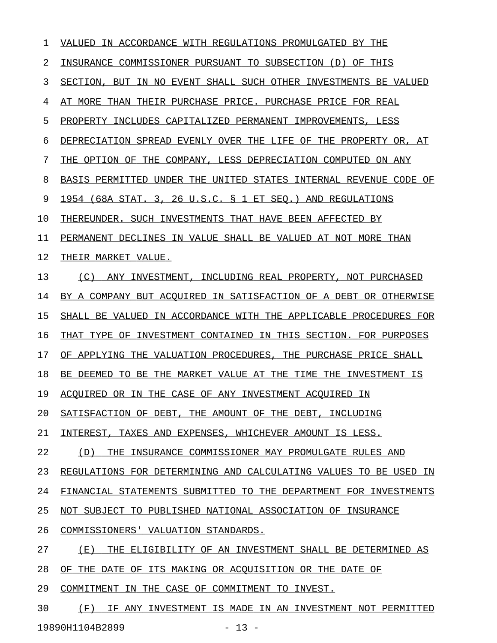| 1  | VALUED<br>IN ACCORDANCE WITH REGULATIONS PROMULGATED BY THE      |
|----|------------------------------------------------------------------|
| 2  | INSURANCE COMMISSIONER PURSUANT TO SUBSECTION (D)<br>OF THIS     |
| 3  | SECTION, BUT IN NO EVENT SHALL SUCH OTHER INVESTMENTS BE VALUED  |
| 4  | AT MORE THAN THEIR PURCHASE PRICE. PURCHASE PRICE FOR REAL       |
| 5  | PROPERTY INCLUDES CAPITALIZED PERMANENT IMPROVEMENTS, LESS       |
| 6  | DEPRECIATION SPREAD EVENLY OVER THE LIFE OF THE PROPERTY OR, AT  |
| 7  | THE OPTION OF THE COMPANY, LESS DEPRECIATION COMPUTED ON ANY     |
| 8  | BASIS PERMITTED UNDER THE UNITED STATES INTERNAL REVENUE CODE OF |
| 9  | 1954 (68A STAT. 3, 26 U.S.C. § 1 ET SEO.) AND REGULATIONS        |
| 10 | THEREUNDER. SUCH INVESTMENTS THAT HAVE BEEN AFFECTED BY          |
| 11 | PERMANENT DECLINES IN VALUE SHALL BE VALUED AT NOT MORE THAN     |
| 12 | THEIR MARKET VALUE.                                              |
| 13 | (C)<br>ANY INVESTMENT, INCLUDING REAL PROPERTY, NOT PURCHASED    |
| 14 | BY A COMPANY BUT ACQUIRED IN SATISFACTION OF A DEBT OR OTHERWISE |
| 15 | SHALL BE VALUED IN ACCORDANCE WITH THE APPLICABLE PROCEDURES FOR |
| 16 | THAT TYPE OF INVESTMENT CONTAINED IN THIS SECTION. FOR PURPOSES  |
| 17 | OF APPLYING THE VALUATION PROCEDURES, THE PURCHASE PRICE SHALL   |
| 18 | BE DEEMED TO BE THE MARKET VALUE AT THE TIME THE INVESTMENT IS   |
| 19 | ACOUIRED OR IN THE CASE OF ANY INVESTMENT ACOUIRED IN            |
| 20 | SATISFACTION OF DEBT, THE AMOUNT OF THE DEBT, INCLUDING          |
| 21 | INTEREST, TAXES AND EXPENSES, WHICHEVER AMOUNT IS LESS.          |
| 22 | THE INSURANCE COMMISSIONER MAY PROMULGATE RULES AND<br>(D)       |
| 23 | REGULATIONS FOR DETERMINING AND CALCULATING VALUES TO BE USED IN |
| 24 | FINANCIAL STATEMENTS SUBMITTED TO THE DEPARTMENT FOR INVESTMENTS |
| 25 | NOT SUBJECT TO PUBLISHED NATIONAL ASSOCIATION OF INSURANCE       |
| 26 | COMMISSIONERS' VALUATION STANDARDS.                              |
| 27 | ( E )<br>THE ELIGIBILITY OF AN INVESTMENT SHALL BE DETERMINED AS |
| 28 | OF THE DATE OF ITS MAKING OR ACOUISITION OR THE DATE OF          |
| 29 | COMMITMENT IN THE CASE OF COMMITMENT TO INVEST.                  |
| 30 | IF ANY INVESTMENT IS MADE IN AN INVESTMENT NOT PERMITTED<br>(F)  |

19890H1104B2899 - 13 -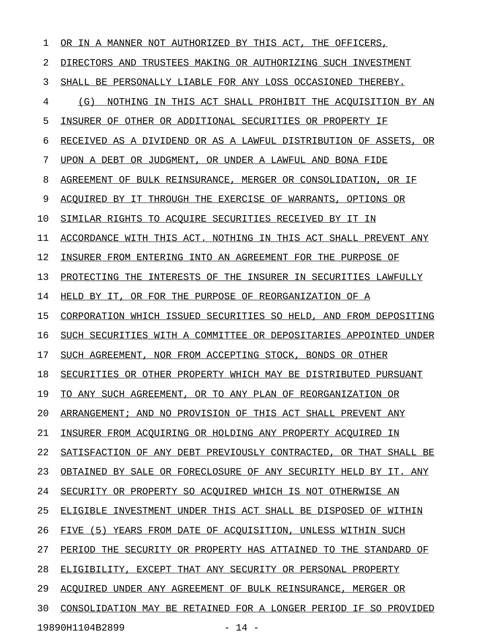| 1  | IN A MANNER NOT AUTHORIZED BY THIS ACT,<br>THE<br>OR.<br>OFFICERS, |
|----|--------------------------------------------------------------------|
| 2  | DIRECTORS AND<br>TRUSTEES MAKING OR AUTHORIZING SUCH INVESTMENT    |
| 3  | SHALL BE PERSONALLY LIABLE FOR ANY LOSS OCCASIONED THEREBY.        |
| 4  | (G)<br>NOTHING IN THIS ACT SHALL PROHIBIT THE ACOUISITION BY AN    |
| 5  | INSURER OF OTHER OR ADDITIONAL SECURITIES OR PROPERTY IF           |
| 6  | RECEIVED AS A DIVIDEND OR AS A LAWFUL DISTRIBUTION OF ASSETS, OR   |
| 7  | UPON A DEBT OR JUDGMENT, OR UNDER A LAWFUL AND BONA FIDE           |
| 8  | AGREEMENT OF BULK REINSURANCE, MERGER OR CONSOLIDATION, OR IF      |
| 9  | ACOUIRED BY IT THROUGH THE EXERCISE OF WARRANTS, OPTIONS OR        |
| 10 | SIMILAR RIGHTS TO ACOUIRE SECURITIES RECEIVED BY IT IN             |
| 11 | ACCORDANCE WITH THIS ACT. NOTHING IN THIS ACT SHALL PREVENT ANY    |
| 12 | INSURER FROM ENTERING INTO AN AGREEMENT FOR THE PURPOSE OF         |
| 13 | INTERESTS OF THE INSURER IN SECURITIES LAWFULLY<br>PROTECTING THE  |
| 14 | HELD BY IT, OR FOR THE PURPOSE OF REORGANIZATION OF A              |
| 15 | CORPORATION WHICH ISSUED SECURITIES SO HELD, AND FROM DEPOSITING   |
| 16 | SUCH SECURITIES WITH A COMMITTEE OR DEPOSITARIES APPOINTED UNDER   |
| 17 | SUCH AGREEMENT, NOR FROM ACCEPTING STOCK, BONDS OR OTHER           |
| 18 | SECURITIES OR OTHER PROPERTY WHICH MAY BE DISTRIBUTED PURSUANT     |
| 19 | TO ANY SUCH AGREEMENT, OR TO ANY PLAN OF REORGANIZATION OR         |
| 20 | ARRANGEMENT; AND NO PROVISION OF THIS ACT SHALL PREVENT ANY        |
| 21 | INSURER FROM ACQUIRING OR HOLDING ANY PROPERTY ACQUIRED IN         |
| 22 | SATISFACTION OF ANY DEBT PREVIOUSLY CONTRACTED, OR THAT SHALL BE   |
| 23 | OBTAINED BY SALE OR FORECLOSURE OF ANY SECURITY HELD BY IT. ANY    |
| 24 | SECURITY OR PROPERTY SO ACOUIRED WHICH IS NOT OTHERWISE AN         |
| 25 | ELIGIBLE INVESTMENT UNDER THIS ACT SHALL BE DISPOSED OF WITHIN     |
| 26 | FIVE (5) YEARS FROM DATE OF ACOUISITION, UNLESS WITHIN SUCH        |
| 27 | PERIOD THE SECURITY OR PROPERTY HAS ATTAINED TO THE STANDARD OF    |
| 28 | ELIGIBILITY, EXCEPT THAT ANY SECURITY OR PERSONAL PROPERTY         |
| 29 | ACOUIRED UNDER ANY AGREEMENT OF BULK REINSURANCE, MERGER OR        |
| 30 | CONSOLIDATION MAY BE RETAINED FOR A LONGER PERIOD IF SO PROVIDED   |
|    | 19890H1104B2899<br>$-14 -$                                         |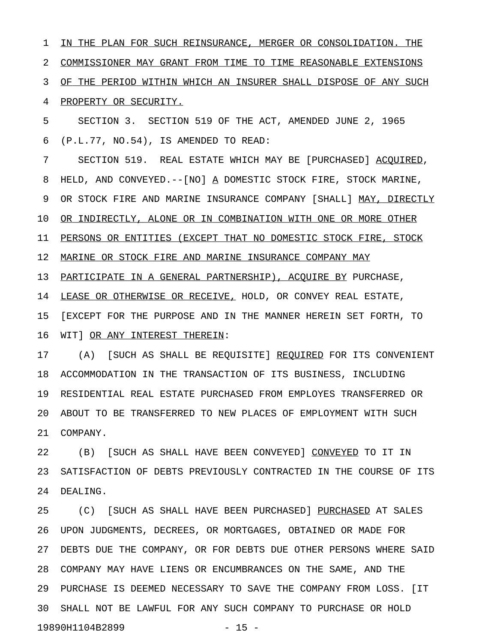1 IN THE PLAN FOR SUCH REINSURANCE, MERGER OR CONSOLIDATION. THE 2 COMMISSIONER MAY GRANT FROM TIME TO TIME REASONABLE EXTENSIONS 3 OF THE PERIOD WITHIN WHICH AN INSURER SHALL DISPOSE OF ANY SUCH 4 PROPERTY OR SECURITY.

5 SECTION 3. SECTION 519 OF THE ACT, AMENDED JUNE 2, 1965 6 (P.L.77, NO.54), IS AMENDED TO READ:

7 SECTION 519. REAL ESTATE WHICH MAY BE [PURCHASED] ACOUIRED, 8 HELD, AND CONVEYED. --[NO] A DOMESTIC STOCK FIRE, STOCK MARINE, 9 OR STOCK FIRE AND MARINE INSURANCE COMPANY [SHALL] MAY, DIRECTLY 10 OR INDIRECTLY, ALONE OR IN COMBINATION WITH ONE OR MORE OTHER 11 PERSONS OR ENTITIES (EXCEPT THAT NO DOMESTIC STOCK FIRE, STOCK 12 MARINE OR STOCK FIRE AND MARINE INSURANCE COMPANY MAY 13 PARTICIPATE IN A GENERAL PARTNERSHIP), ACQUIRE BY PURCHASE, 14 LEASE OR OTHERWISE OR RECEIVE, HOLD, OR CONVEY REAL ESTATE, 15 [EXCEPT FOR THE PURPOSE AND IN THE MANNER HEREIN SET FORTH, TO

17 (A) [SUCH AS SHALL BE REQUISITE] REQUIRED FOR ITS CONVENIENT 18 ACCOMMODATION IN THE TRANSACTION OF ITS BUSINESS, INCLUDING 19 RESIDENTIAL REAL ESTATE PURCHASED FROM EMPLOYES TRANSFERRED OR 20 ABOUT TO BE TRANSFERRED TO NEW PLACES OF EMPLOYMENT WITH SUCH 21 COMPANY.

16 WIT] OR ANY INTEREST THEREIN:

22 (B) [SUCH AS SHALL HAVE BEEN CONVEYED] CONVEYED TO IT IN 23 SATISFACTION OF DEBTS PREVIOUSLY CONTRACTED IN THE COURSE OF ITS 24 DEALING.

25 (C) [SUCH AS SHALL HAVE BEEN PURCHASED] PURCHASED AT SALES 26 UPON JUDGMENTS, DECREES, OR MORTGAGES, OBTAINED OR MADE FOR 27 DEBTS DUE THE COMPANY, OR FOR DEBTS DUE OTHER PERSONS WHERE SAID 28 COMPANY MAY HAVE LIENS OR ENCUMBRANCES ON THE SAME, AND THE 29 PURCHASE IS DEEMED NECESSARY TO SAVE THE COMPANY FROM LOSS. [IT 30 SHALL NOT BE LAWFUL FOR ANY SUCH COMPANY TO PURCHASE OR HOLD 19890H1104B2899 - 15 -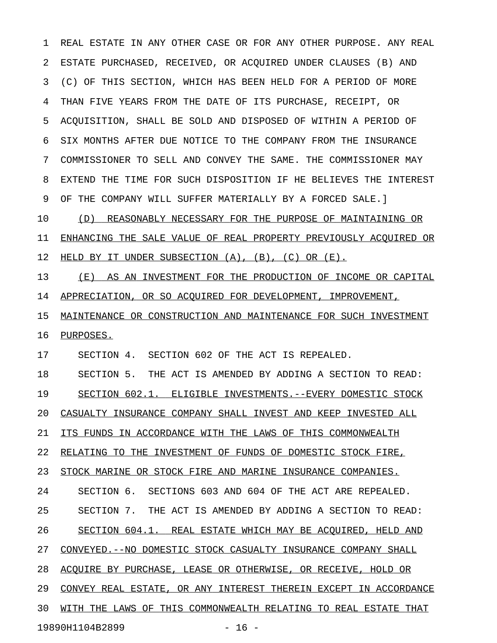1 REAL ESTATE IN ANY OTHER CASE OR FOR ANY OTHER PURPOSE. ANY REAL 2 ESTATE PURCHASED, RECEIVED, OR ACQUIRED UNDER CLAUSES (B) AND 3 (C) OF THIS SECTION, WHICH HAS BEEN HELD FOR A PERIOD OF MORE 4 THAN FIVE YEARS FROM THE DATE OF ITS PURCHASE, RECEIPT, OR 5 ACQUISITION, SHALL BE SOLD AND DISPOSED OF WITHIN A PERIOD OF 6 SIX MONTHS AFTER DUE NOTICE TO THE COMPANY FROM THE INSURANCE 7 COMMISSIONER TO SELL AND CONVEY THE SAME. THE COMMISSIONER MAY 8 EXTEND THE TIME FOR SUCH DISPOSITION IF HE BELIEVES THE INTEREST 9 OF THE COMPANY WILL SUFFER MATERIALLY BY A FORCED SALE.] 10 (D) REASONABLY NECESSARY FOR THE PURPOSE OF MAINTAINING OR 11 ENHANCING THE SALE VALUE OF REAL PROPERTY PREVIOUSLY ACOUIRED OR 12 HELD BY IT UNDER SUBSECTION (A), (B), (C) OR (E). 13 (E) AS AN INVESTMENT FOR THE PRODUCTION OF INCOME OR CAPITAL 14 APPRECIATION, OR SO ACOUIRED FOR DEVELOPMENT, IMPROVEMENT, 15 MAINTENANCE OR CONSTRUCTION AND MAINTENANCE FOR SUCH INVESTMENT 16 PURPOSES. 17 SECTION 4. SECTION 602 OF THE ACT IS REPEALED. 18 SECTION 5. THE ACT IS AMENDED BY ADDING A SECTION TO READ: 19 SECTION 602.1. ELIGIBLE INVESTMENTS. -- EVERY DOMESTIC STOCK 20 CASUALTY INSURANCE COMPANY SHALL INVEST AND KEEP INVESTED ALL 21 ITS FUNDS IN ACCORDANCE WITH THE LAWS OF THIS COMMONWEALTH 22 RELATING TO THE INVESTMENT OF FUNDS OF DOMESTIC STOCK FIRE, 23 STOCK MARINE OR STOCK FIRE AND MARINE INSURANCE COMPANIES. 24 SECTION 6. SECTIONS 603 AND 604 OF THE ACT ARE REPEALED. 25 SECTION 7. THE ACT IS AMENDED BY ADDING A SECTION TO READ: 26 SECTION 604.1. REAL ESTATE WHICH MAY BE ACOUIRED, HELD AND 27 CONVEYED.--NO DOMESTIC STOCK CASUALTY INSURANCE COMPANY SHALL 28 ACQUIRE BY PURCHASE, LEASE OR OTHERWISE, OR RECEIVE, HOLD OR 29 CONVEY REAL ESTATE, OR ANY INTEREST THEREIN EXCEPT IN ACCORDANCE 30 WITH THE LAWS OF THIS COMMONWEALTH RELATING TO REAL ESTATE THAT 19890H1104B2899 - 16 -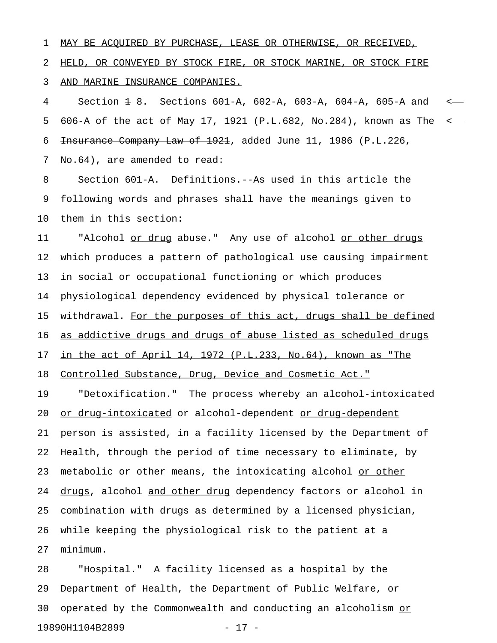1 MAY BE ACQUIRED BY PURCHASE, LEASE OR OTHERWISE, OR RECEIVED, 2 HELD, OR CONVEYED BY STOCK FIRE, OR STOCK MARINE, OR STOCK FIRE 3 AND MARINE INSURANCE COMPANIES.

4 Section 1 8. Sections 601-A, 602-A, 603-A, 604-A, 605-A and < 5 606-A of the act <del>of May 17, 1921 (P.L.682, No.284), known as The</del> <-6 <del>Insurance Company Law of 1921</del>, added June 11, 1986 (P.L.226,

7 No.64), are amended to read:

8 Section 601-A. Definitions.--As used in this article the 9 following words and phrases shall have the meanings given to 10 them in this section:

11 "Alcohol or drug abuse." Any use of alcohol or other drugs 12 which produces a pattern of pathological use causing impairment 13 in social or occupational functioning or which produces 14 physiological dependency evidenced by physical tolerance or 15 withdrawal. For the purposes of this act, drugs shall be defined 16 as addictive drugs and drugs of abuse listed as scheduled drugs 17 in the act of April 14, 1972 (P.L.233, No.64), known as "The

18 Controlled Substance, Drug, Device and Cosmetic Act."

19 "Detoxification." The process whereby an alcohol-intoxicated 20 or drug-intoxicated or alcohol-dependent or drug-dependent 21 person is assisted, in a facility licensed by the Department of 22 Health, through the period of time necessary to eliminate, by 23 metabolic or other means, the intoxicating alcohol or other 24 drugs, alcohol and other drug dependency factors or alcohol in 25 combination with drugs as determined by a licensed physician, 26 while keeping the physiological risk to the patient at a 27 minimum.

28 "Hospital." A facility licensed as a hospital by the 29 Department of Health, the Department of Public Welfare, or 30 operated by the Commonwealth and conducting an alcoholism or\_\_ 19890H1104B2899 - 17 -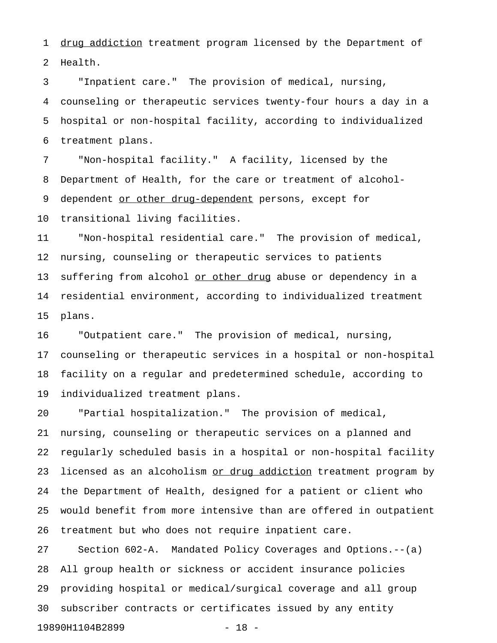1 drug addiction treatment program licensed by the Department of 2 Health.

3 "Inpatient care." The provision of medical, nursing, 4 counseling or therapeutic services twenty-four hours a day in a 5 hospital or non-hospital facility, according to individualized 6 treatment plans.

7 "Non-hospital facility." A facility, licensed by the 8 Department of Health, for the care or treatment of alcohol-9 dependent or other drug-dependent persons, except for 10 transitional living facilities.

11 "Non-hospital residential care." The provision of medical, 12 nursing, counseling or therapeutic services to patients 13 suffering from alcohol or other drug abuse or dependency in a 14 residential environment, according to individualized treatment 15 plans.

16 "Outpatient care." The provision of medical, nursing, 17 counseling or therapeutic services in a hospital or non-hospital 18 facility on a regular and predetermined schedule, according to 19 individualized treatment plans.

20 "Partial hospitalization." The provision of medical, 21 nursing, counseling or therapeutic services on a planned and 22 regularly scheduled basis in a hospital or non-hospital facility 23 licensed as an alcoholism or drug addiction treatment program by 24 the Department of Health, designed for a patient or client who 25 would benefit from more intensive than are offered in outpatient 26 treatment but who does not require inpatient care.

27 Section 602-A. Mandated Policy Coverages and Options.--(a) 28 All group health or sickness or accident insurance policies 29 providing hospital or medical/surgical coverage and all group 30 subscriber contracts or certificates issued by any entity 19890H1104B2899 - 18 -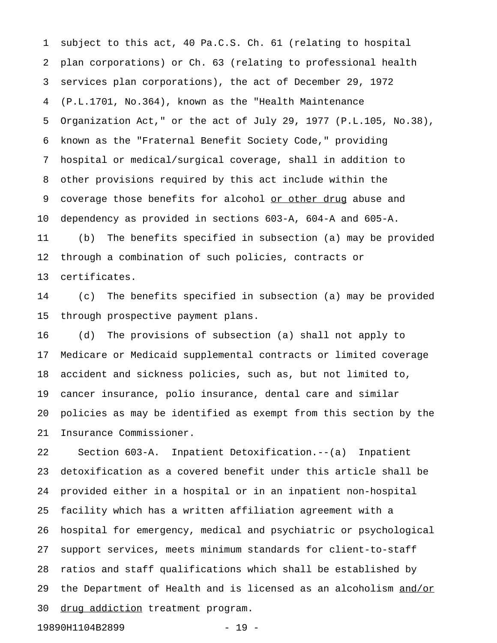1 subject to this act, 40 Pa.C.S. Ch. 61 (relating to hospital 2 plan corporations) or Ch. 63 (relating to professional health 3 services plan corporations), the act of December 29, 1972 4 (P.L.1701, No.364), known as the "Health Maintenance 5 Organization Act," or the act of July 29, 1977 (P.L.105, No.38), 6 known as the "Fraternal Benefit Society Code," providing 7 hospital or medical/surgical coverage, shall in addition to 8 other provisions required by this act include within the 9 coverage those benefits for alcohol or other drug abuse and 10 dependency as provided in sections 603-A, 604-A and 605-A. 11 (b) The benefits specified in subsection (a) may be provided

12 through a combination of such policies, contracts or

13 certificates.

14 (c) The benefits specified in subsection (a) may be provided 15 through prospective payment plans.

16 (d) The provisions of subsection (a) shall not apply to 17 Medicare or Medicaid supplemental contracts or limited coverage 18 accident and sickness policies, such as, but not limited to, 19 cancer insurance, polio insurance, dental care and similar 20 policies as may be identified as exempt from this section by the 21 Insurance Commissioner.

22 Section 603-A. Inpatient Detoxification.--(a) Inpatient 23 detoxification as a covered benefit under this article shall be 24 provided either in a hospital or in an inpatient non-hospital 25 facility which has a written affiliation agreement with a 26 hospital for emergency, medical and psychiatric or psychological 27 support services, meets minimum standards for client-to-staff 28 ratios and staff qualifications which shall be established by 29 the Department of Health and is licensed as an alcoholism and/or 30 drug addiction treatment program.

19890H1104B2899 - 19 -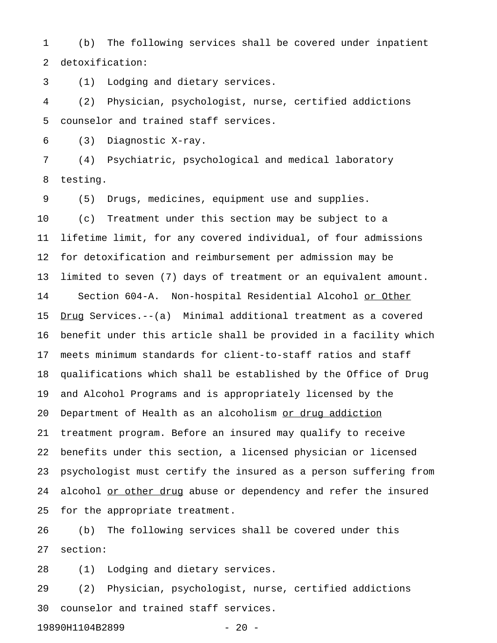1 (b) The following services shall be covered under inpatient 2 detoxification:

3 (1) Lodging and dietary services.

4 (2) Physician, psychologist, nurse, certified addictions 5 counselor and trained staff services.

6 (3) Diagnostic X-ray.

7 (4) Psychiatric, psychological and medical laboratory 8 testing.

9 (5) Drugs, medicines, equipment use and supplies.

10 (c) Treatment under this section may be subject to a 11 lifetime limit, for any covered individual, of four admissions 12 for detoxification and reimbursement per admission may be 13 limited to seven (7) days of treatment or an equivalent amount. 14 Section 604-A. Non-hospital Residential Alcohol or Other 15 Drug Services.--(a) Minimal additional treatment as a covered 16 benefit under this article shall be provided in a facility which 17 meets minimum standards for client-to-staff ratios and staff 18 qualifications which shall be established by the Office of Drug 19 and Alcohol Programs and is appropriately licensed by the 20 Department of Health as an alcoholism or drug addiction 21 treatment program. Before an insured may qualify to receive 22 benefits under this section, a licensed physician or licensed 23 psychologist must certify the insured as a person suffering from 24 alcohol or other drug abuse or dependency and refer the insured 25 for the appropriate treatment.

26 (b) The following services shall be covered under this 27 section:

28 (1) Lodging and dietary services.

29 (2) Physician, psychologist, nurse, certified addictions 30 counselor and trained staff services.

19890H1104B2899 - 20 -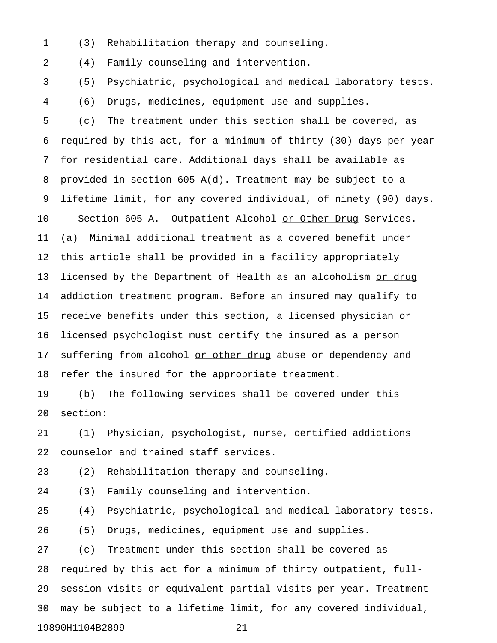1 (3) Rehabilitation therapy and counseling.

2 (4) Family counseling and intervention.

3 (5) Psychiatric, psychological and medical laboratory tests. 4 (6) Drugs, medicines, equipment use and supplies.

5 (c) The treatment under this section shall be covered, as 6 required by this act, for a minimum of thirty (30) days per year 7 for residential care. Additional days shall be available as 8 provided in section 605-A(d). Treatment may be subject to a 9 lifetime limit, for any covered individual, of ninety (90) days. 10 Section 605-A. Outpatient Alcohol or Other Drug Services.--11 (a) Minimal additional treatment as a covered benefit under 12 this article shall be provided in a facility appropriately 13 licensed by the Department of Health as an alcoholism or drug 14 addiction treatment program. Before an insured may qualify to 15 receive benefits under this section, a licensed physician or 16 licensed psychologist must certify the insured as a person 17 suffering from alcohol or other drug abuse or dependency and 18 refer the insured for the appropriate treatment.

19 (b) The following services shall be covered under this 20 section:

21 (1) Physician, psychologist, nurse, certified addictions 22 counselor and trained staff services.

23 (2) Rehabilitation therapy and counseling.

24 (3) Family counseling and intervention.

25 (4) Psychiatric, psychological and medical laboratory tests.

26 (5) Drugs, medicines, equipment use and supplies.

27 (c) Treatment under this section shall be covered as 28 required by this act for a minimum of thirty outpatient, full-29 session visits or equivalent partial visits per year. Treatment 30 may be subject to a lifetime limit, for any covered individual, 19890H1104B2899 - 21 -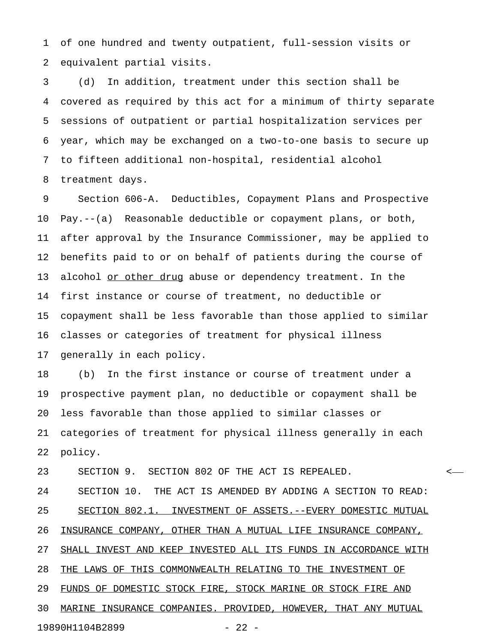1 of one hundred and twenty outpatient, full-session visits or 2 equivalent partial visits.

3 (d) In addition, treatment under this section shall be 4 covered as required by this act for a minimum of thirty separate 5 sessions of outpatient or partial hospitalization services per 6 year, which may be exchanged on a two-to-one basis to secure up 7 to fifteen additional non-hospital, residential alcohol 8 treatment days.

9 Section 606-A. Deductibles, Copayment Plans and Prospective 10 Pay.--(a) Reasonable deductible or copayment plans, or both, 11 after approval by the Insurance Commissioner, may be applied to 12 benefits paid to or on behalf of patients during the course of 13 alcohol or other drug abuse or dependency treatment. In the 14 first instance or course of treatment, no deductible or 15 copayment shall be less favorable than those applied to similar 16 classes or categories of treatment for physical illness 17 generally in each policy.

18 (b) In the first instance or course of treatment under a 19 prospective payment plan, no deductible or copayment shall be 20 less favorable than those applied to similar classes or 21 categories of treatment for physical illness generally in each 22 policy.

23 SECTION 9. SECTION 802 OF THE ACT IS REPEALED. <

24 SECTION 10. THE ACT IS AMENDED BY ADDING A SECTION TO READ: 25 SECTION 802.1. INVESTMENT OF ASSETS.--EVERY DOMESTIC MUTUAL 26 INSURANCE COMPANY, OTHER THAN A MUTUAL LIFE INSURANCE COMPANY, 27 SHALL INVEST AND KEEP INVESTED ALL ITS FUNDS IN ACCORDANCE WITH 28 THE LAWS OF THIS COMMONWEALTH RELATING TO THE INVESTMENT OF 29 FUNDS OF DOMESTIC STOCK FIRE, STOCK MARINE OR STOCK FIRE AND 30 MARINE INSURANCE COMPANIES. PROVIDED, HOWEVER, THAT ANY MUTUAL

19890H1104B2899 - 22 -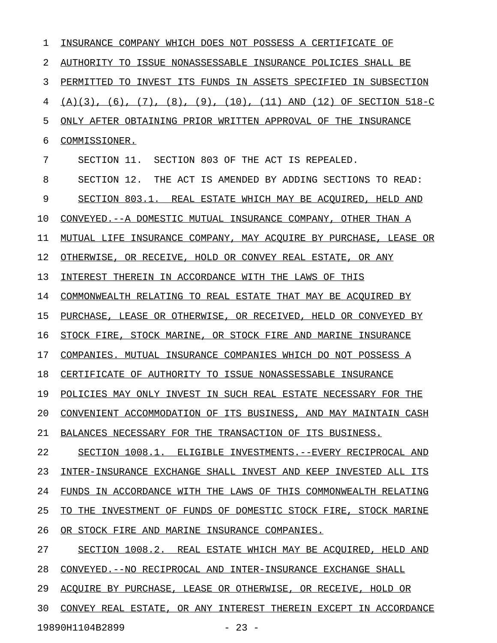| ı  | INSURANCE COMPANY WHICH DOES NOT POSSESS A CERTIFICATE OF                              |
|----|----------------------------------------------------------------------------------------|
| 2  | AUTHORITY TO ISSUE NONASSESSABLE INSURANCE POLICIES SHALL BE                           |
| 3  | PERMITTED TO INVEST ITS FUNDS IN ASSETS SPECIFIED IN SUBSECTION                        |
| 4  | $(A)(3)$ , $(6)$ , $(7)$ , $(8)$ , $(9)$ , $(10)$ , $(11)$ AND $(12)$ OF SECTION 518-C |
| 5  | ONLY AFTER OBTAINING PRIOR WRITTEN APPROVAL OF THE INSURANCE                           |
| 6  | COMMISSIONER.                                                                          |
| 7  | SECTION 11. SECTION 803 OF THE ACT IS REPEALED.                                        |
| 8  | SECTION 12. THE ACT IS AMENDED BY ADDING SECTIONS TO READ:                             |
| 9  | SECTION 803.1. REAL ESTATE WHICH MAY BE ACQUIRED, HELD AND                             |
| 10 | CONVEYED. -- A DOMESTIC MUTUAL INSURANCE COMPANY, OTHER THAN A                         |
| 11 | MUTUAL LIFE INSURANCE COMPANY, MAY ACOUIRE BY PURCHASE, LEASE OR                       |
| 12 | OTHERWISE, OR RECEIVE, HOLD OR CONVEY REAL ESTATE, OR ANY                              |
| 13 | INTEREST THEREIN IN ACCORDANCE WITH THE LAWS OF THIS                                   |
| 14 | COMMONWEALTH RELATING TO REAL ESTATE THAT MAY BE ACOUIRED BY                           |
| 15 | PURCHASE, LEASE OR OTHERWISE, OR RECEIVED, HELD OR CONVEYED BY                         |
| 16 | STOCK FIRE, STOCK MARINE, OR STOCK FIRE AND MARINE INSURANCE                           |
| 17 | COMPANIES. MUTUAL INSURANCE COMPANIES WHICH DO NOT POSSESS A                           |
| 18 | CERTIFICATE OF AUTHORITY TO ISSUE NONASSESSABLE INSURANCE                              |
| 19 | POLICIES MAY ONLY INVEST IN SUCH REAL ESTATE NECESSARY FOR THE                         |
| 20 | CONVENIENT ACCOMMODATION OF ITS BUSINESS, AND MAY MAINTAIN CASH                        |
| 21 | BALANCES NECESSARY FOR THE TRANSACTION OF ITS BUSINESS.                                |
| 22 | SECTION 1008.1. ELIGIBLE INVESTMENTS. -- EVERY RECIPROCAL AND                          |
| 23 | INTER-INSURANCE EXCHANGE SHALL INVEST AND KEEP INVESTED ALL ITS                        |
| 24 | FUNDS IN ACCORDANCE WITH THE LAWS OF THIS COMMONWEALTH RELATING                        |
| 25 | INVESTMENT OF FUNDS OF DOMESTIC STOCK FIRE, STOCK MARINE<br>TO THE                     |
| 26 | OR STOCK FIRE AND MARINE INSURANCE COMPANIES.                                          |
| 27 | SECTION 1008.2. REAL ESTATE WHICH MAY BE ACOUIRED, HELD AND                            |
| 28 | CONVEYED.--NO RECIPROCAL AND INTER-INSURANCE EXCHANGE SHALL                            |
| 29 | ACOUIRE BY PURCHASE, LEASE OR OTHERWISE, OR RECEIVE, HOLD OR                           |
| 30 | CONVEY REAL ESTATE, OR ANY INTEREST THEREIN EXCEPT IN ACCORDANCE                       |
|    | 19890H1104B2899<br>$-23 -$                                                             |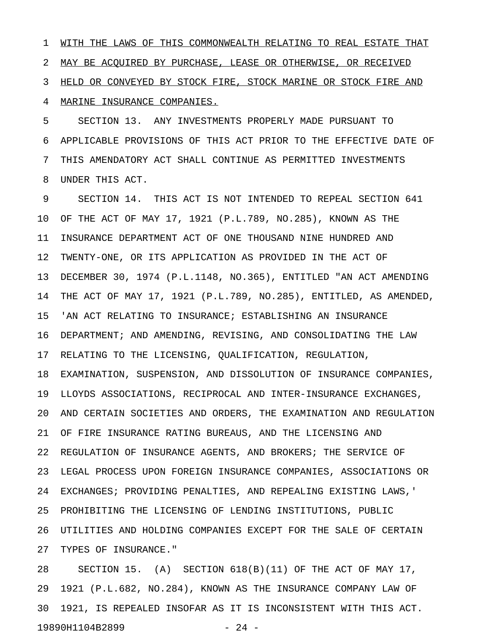1 WITH THE LAWS OF THIS COMMONWEALTH RELATING TO REAL ESTATE THAT 2 MAY BE ACQUIRED BY PURCHASE, LEASE OR OTHERWISE, OR RECEIVED 3 HELD OR CONVEYED BY STOCK FIRE, STOCK MARINE OR STOCK FIRE AND 4 MARINE INSURANCE COMPANIES.

5 SECTION 13. ANY INVESTMENTS PROPERLY MADE PURSUANT TO 6 APPLICABLE PROVISIONS OF THIS ACT PRIOR TO THE EFFECTIVE DATE OF 7 THIS AMENDATORY ACT SHALL CONTINUE AS PERMITTED INVESTMENTS 8 UNDER THIS ACT.

9 SECTION 14. THIS ACT IS NOT INTENDED TO REPEAL SECTION 641 10 OF THE ACT OF MAY 17, 1921 (P.L.789, NO.285), KNOWN AS THE 11 INSURANCE DEPARTMENT ACT OF ONE THOUSAND NINE HUNDRED AND 12 TWENTY-ONE, OR ITS APPLICATION AS PROVIDED IN THE ACT OF 13 DECEMBER 30, 1974 (P.L.1148, NO.365), ENTITLED "AN ACT AMENDING 14 THE ACT OF MAY 17, 1921 (P.L.789, NO.285), ENTITLED, AS AMENDED, 15 'AN ACT RELATING TO INSURANCE; ESTABLISHING AN INSURANCE 16 DEPARTMENT; AND AMENDING, REVISING, AND CONSOLIDATING THE LAW 17 RELATING TO THE LICENSING, QUALIFICATION, REGULATION, 18 EXAMINATION, SUSPENSION, AND DISSOLUTION OF INSURANCE COMPANIES, 19 LLOYDS ASSOCIATIONS, RECIPROCAL AND INTER-INSURANCE EXCHANGES, 20 AND CERTAIN SOCIETIES AND ORDERS, THE EXAMINATION AND REGULATION 21 OF FIRE INSURANCE RATING BUREAUS, AND THE LICENSING AND 22 REGULATION OF INSURANCE AGENTS, AND BROKERS; THE SERVICE OF 23 LEGAL PROCESS UPON FOREIGN INSURANCE COMPANIES, ASSOCIATIONS OR 24 EXCHANGES; PROVIDING PENALTIES, AND REPEALING EXISTING LAWS,' 25 PROHIBITING THE LICENSING OF LENDING INSTITUTIONS, PUBLIC 26 UTILITIES AND HOLDING COMPANIES EXCEPT FOR THE SALE OF CERTAIN 27 TYPES OF INSURANCE."

28 SECTION 15. (A) SECTION 618(B)(11) OF THE ACT OF MAY 17, 29 1921 (P.L.682, NO.284), KNOWN AS THE INSURANCE COMPANY LAW OF 30 1921, IS REPEALED INSOFAR AS IT IS INCONSISTENT WITH THIS ACT. 19890H1104B2899 - 24 -